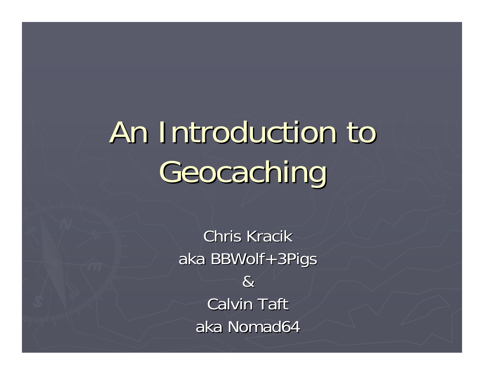# An Introduction to An Introduction to Geocaching

Chris Kracik aka BBWolf+3Pigs & Calvin Taft aka Nomad64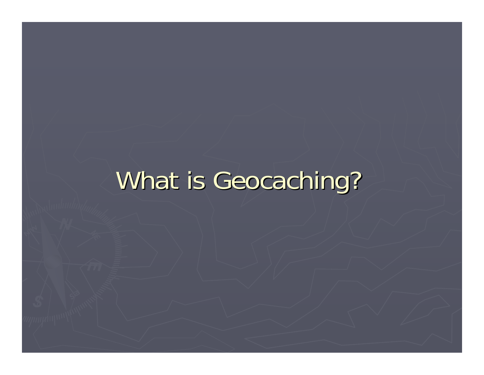## What is Geocaching?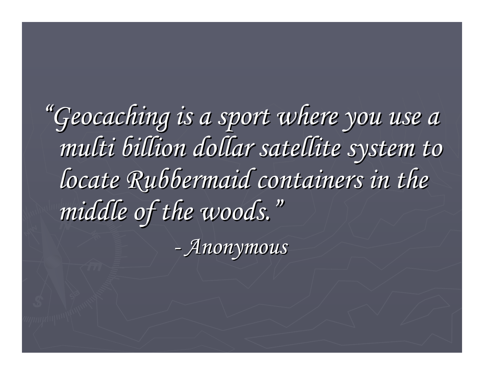*"Geocaching is a sport where you use a Geocaching is a sport where you use a multi billion dollar satellite system to multi billion dollar satellite system to locate Rubbermaid containers in the middle of the woods. middle of the woods. "*

> *-Anonymous Anonymous*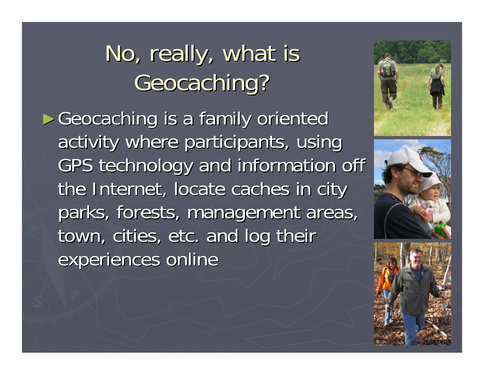### No, really, what is Geocaching?

► Geocaching is a family oriented activity where participants, using GPS technology and information off the Internet, locate caches in city parks, forests, management areas, town, cities, etc. and log their experiences online





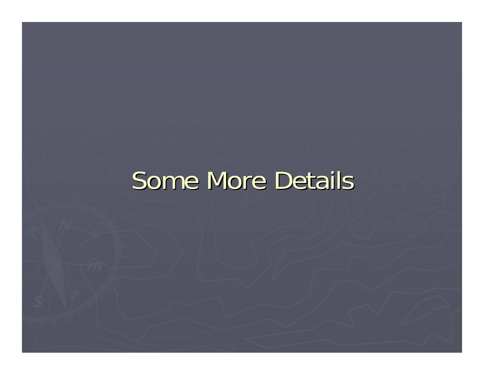#### Some More Details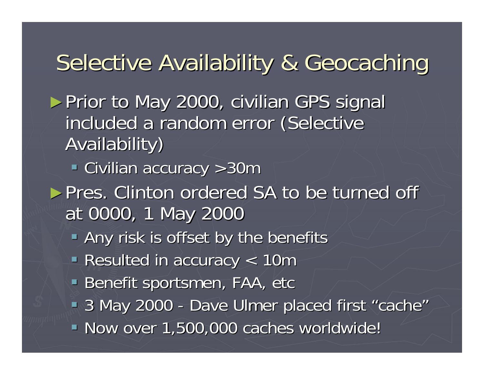#### Selective Availability & Geocaching

- ► Prior to May 2000, civilian GPS signal included a random error (Selective Availability) Availability)
	- **Exercise 2011** Civilian accuracy >30m
- ► Pres. Clinton ordered SA to be turned off at 0000, 1 May 2000
	- **Any risk is offset by the benefits**
	- Resulted in accuracy < 10m
	- Benefit sportsmen, FAA, etc
	- $-3$  May 2000 -- Dave Ulmer placed first "cache "
	- Now over 1,500,000 caches worldwide! Now over 1,500,000 caches worldwide!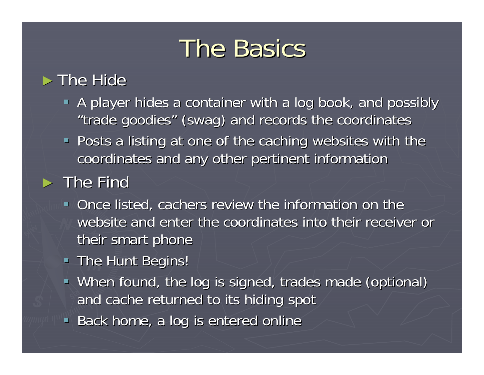### **The Basics**

#### $\blacktriangleright$  The Hide

- A player hides a container with a log book, and possibly "trade goodies" (swag) and records the coordinates
- **Posts a listing at one of the caching websites with the** coordinates and any other pertinent information

#### $\blacktriangleright$  The Find

- Once listed, cachers review the information on the website and enter the coordinates into their receiver or their smart phone
- **The Hunt Begins!**
- When found, the log is signed, trades made (optional) and cache returned to its hiding spot
- **Back home, a log is entered online**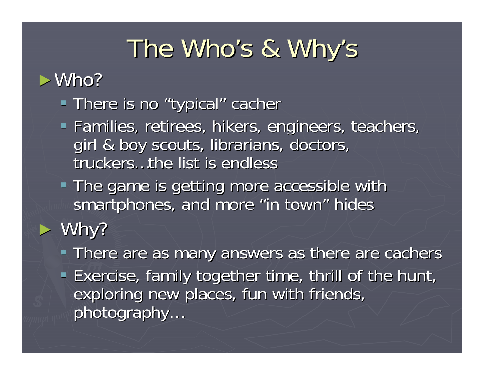## The Who's & Why's

#### ►Who?

- **There is no "typical" cacher**
- **Families, retirees, hikers, engineers, teachers,** girl & boy scouts, librarians, doctors, truckers…the list is endless
- The game is getting more accessible with smartphones, and more "in town" hides
- ► Why?
	- There are as many answers as there are cachers **Exercise, family together time, thrill of the hunt,** exploring new places, fun with friends, photography...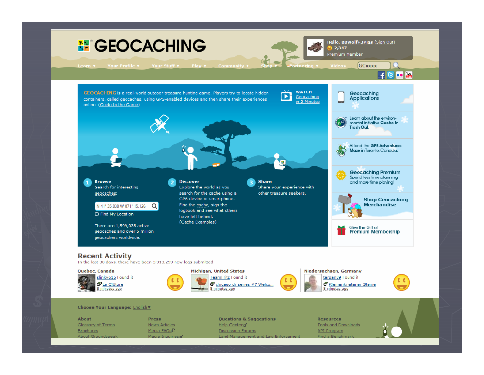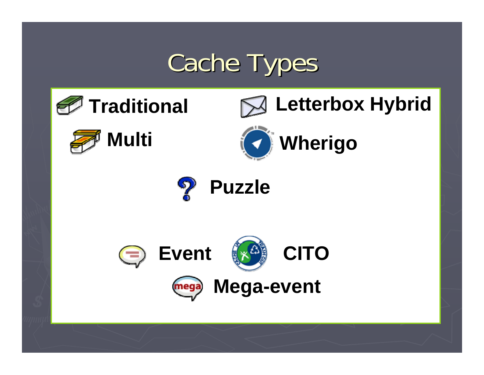## **Cache Types**

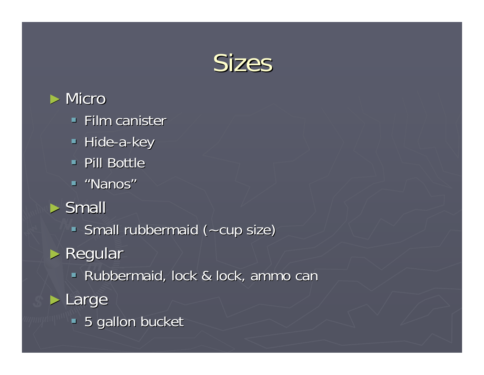



- $\blacksquare$  Film canister
- Hide-a-key
- **Pill Bottle**
- "Nanos"
- ► Small
	- Small rubbermaid (~cup size)
- ► Regular
	- **Rubbermaid, lock & lock, ammo can**
- ► Large
	- **5 gallon bucket**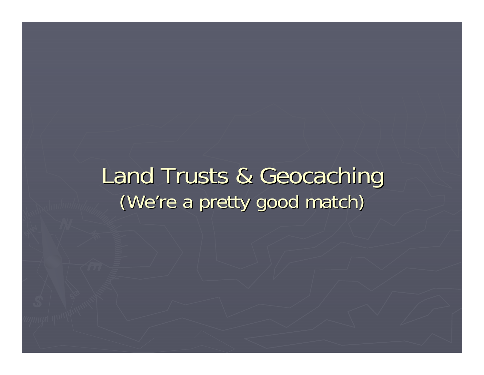#### Land Trusts & Geocaching (We're a pretty good match)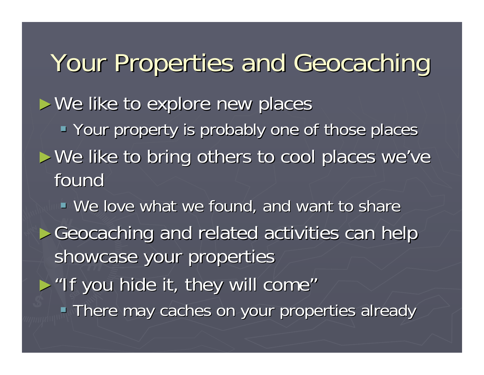Your Properties and Geocaching  $\blacktriangleright$  We like to explore new places Your property is probably one of those places ► We like to bring others to cool places we've foundWe love what we found, and want to share ► Geocaching and related activities can help showcase your properties  $\blacktriangleright$  "If you hide it, they will come" **There may caches on your properties already**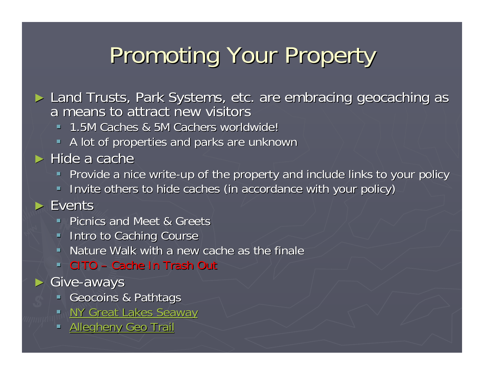### Promoting Your Property

- ► Land Trusts, Park Systems, etc. are embracing geocaching as a means to attract new visitors a means to attract new visitors
	- 1.5M Caches & 5M Cachers worldwide! 1.5M Caches & 5M Cachers worldwide!
	- A lot of properties and parks are unknown
- $\blacktriangleright$  Hide a cache
	- Provide a nice write-up of the property and include links to your policy
	- Invite others to hide caches (in accordance with your policy)

#### ► Events

- **Picnics and Meet & Greets**
- **Intro to Caching Course**
- $\blacksquare$  Nature Walk with a new cache as the finale
- **CITO Cache In Trash Out**
- ► Give -aways
	- Geocoins & Pathtags
	- NY Great Lakes Seaway
	- **Allegheny Geo Trail**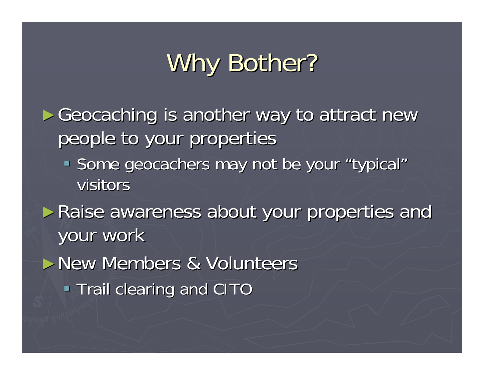## Why Bother?

► Geocaching is another way to attract new people to your properties

- Some geocachers may not be your "typical" visitors
- ► Raise awareness about your properties and your work
- ►New Members & Volunteers
	- **Trail clearing and CITO**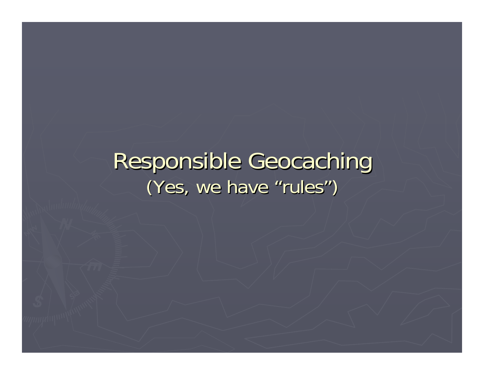#### Responsible Geocaching (Yes, we have "rules " $\binom{n}{k}$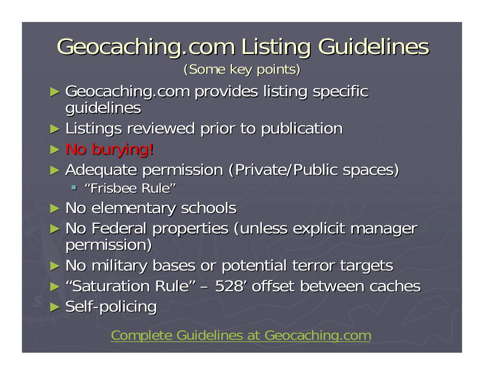## Geocaching.com Listing Guidelines

(Some key points)

► Geocaching.com provides listing specific guidelines

► Listings reviewed prior to publication

- $\triangleright$  No burying!
- ► Adequate permission (Private/Public spaces)
	- "Frisbee Rule"
- ► No elementary schools
- ► No Federal properties (unless explicit manager permission)

► No military bases or potential terror targets

► "Saturation Rule " $"$  – 528' offset between caches ► Self-policing

Complete Guidelines at Geocaching.com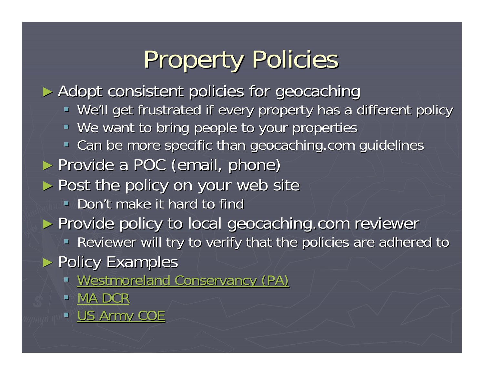## **Property Policies**

► Adopt consistent policies for geocaching  $\blacksquare$  We'll get frustrated if every property has a different policy We want to bring people to your properties • Can be more specific than geocaching.com guidelines ► Provide a POC (email, phone) ► Post the policy on your web site  $\blacksquare$  Don't make it hard to find ► Provide policy to local geocaching.com reviewer **- Reviewer will try to verify that the policies are adhered to** ► Policy Examples **Westmoreland Conservancy (PA)** Westmoreland Conservancy (PA)  $\blacksquare^\circ$ ■ MA DCR **US Army COE**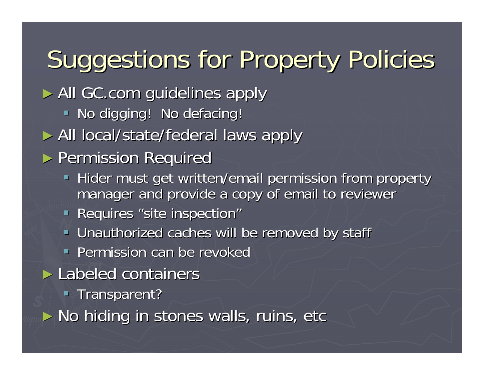## Suggestions for Property Policies

- ► All GC.com guidelines apply
	- $\blacksquare$  No digging! No defacing!
- ► All local/state/federal laws apply
- ▶ Permission Required
	- Hider must get written/email permission from property manager and provide a copy of email to reviewer
	- **Requires "site inspection"**
	- **Unauthorized caches will be removed by staff Vinauthorized caches will be removed by staff**
	- $\blacksquare$  Permission can be revoked
- ► Labeled containers
	- **Transparent?**
- ► No hiding in stones walls, ruins, etc